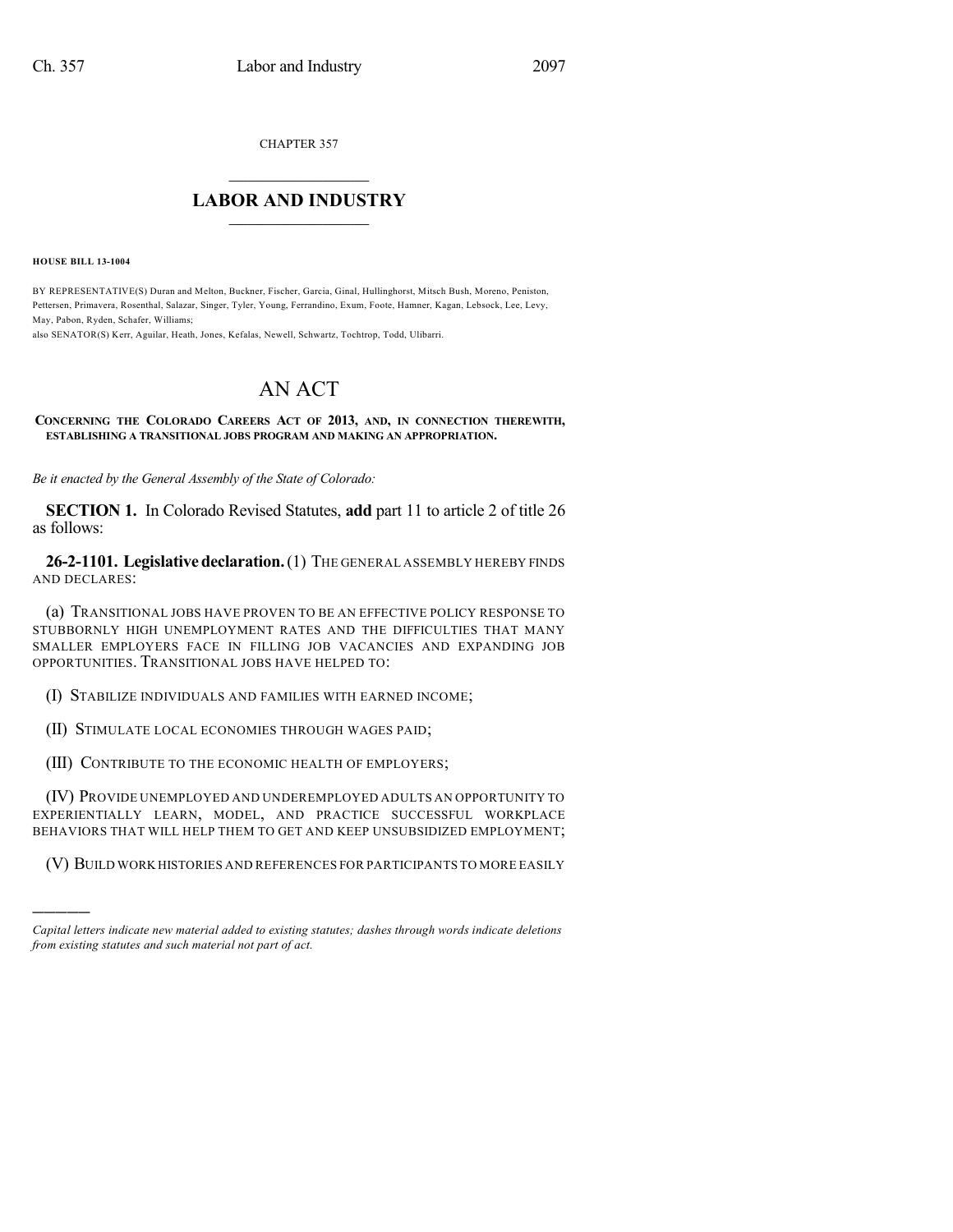CHAPTER 357

## $\overline{\phantom{a}}$  . The set of the set of the set of the set of the set of the set of the set of the set of the set of the set of the set of the set of the set of the set of the set of the set of the set of the set of the set o **LABOR AND INDUSTRY**  $\frac{1}{\sqrt{2}}$  ,  $\frac{1}{\sqrt{2}}$  ,  $\frac{1}{\sqrt{2}}$  ,  $\frac{1}{\sqrt{2}}$  ,  $\frac{1}{\sqrt{2}}$  ,  $\frac{1}{\sqrt{2}}$

**HOUSE BILL 13-1004**

)))))

BY REPRESENTATIVE(S) Duran and Melton, Buckner, Fischer, Garcia, Ginal, Hullinghorst, Mitsch Bush, Moreno, Peniston, Pettersen, Primavera, Rosenthal, Salazar, Singer, Tyler, Young, Ferrandino, Exum, Foote, Hamner, Kagan, Lebsock, Lee, Levy, May, Pabon, Ryden, Schafer, Williams;

also SENATOR(S) Kerr, Aguilar, Heath, Jones, Kefalas, Newell, Schwartz, Tochtrop, Todd, Ulibarri.

# AN ACT

**CONCERNING THE COLORADO CAREERS ACT OF 2013, AND, IN CONNECTION THEREWITH, ESTABLISHING A TRANSITIONAL JOBS PROGRAM AND MAKING AN APPROPRIATION.**

*Be it enacted by the General Assembly of the State of Colorado:*

**SECTION 1.** In Colorado Revised Statutes, **add** part 11 to article 2 of title 26 as follows:

**26-2-1101. Legislativedeclaration.**(1) THE GENERAL ASSEMBLY HEREBY FINDS AND DECLARES:

(a) TRANSITIONAL JOBS HAVE PROVEN TO BE AN EFFECTIVE POLICY RESPONSE TO STUBBORNLY HIGH UNEMPLOYMENT RATES AND THE DIFFICULTIES THAT MANY SMALLER EMPLOYERS FACE IN FILLING JOB VACANCIES AND EXPANDING JOB OPPORTUNITIES. TRANSITIONAL JOBS HAVE HELPED TO:

(I) STABILIZE INDIVIDUALS AND FAMILIES WITH EARNED INCOME;

(II) STIMULATE LOCAL ECONOMIES THROUGH WAGES PAID;

(III) CONTRIBUTE TO THE ECONOMIC HEALTH OF EMPLOYERS;

(IV) PROVIDE UNEMPLOYED AND UNDEREMPLOYED ADULTS AN OPPORTUNITY TO EXPERIENTIALLY LEARN, MODEL, AND PRACTICE SUCCESSFUL WORKPLACE BEHAVIORS THAT WILL HELP THEM TO GET AND KEEP UNSUBSIDIZED EMPLOYMENT;

(V) BUILD WORK HISTORIES AND REFERENCES FOR PARTICIPANTS TO MORE EASILY

*Capital letters indicate new material added to existing statutes; dashes through words indicate deletions from existing statutes and such material not part of act.*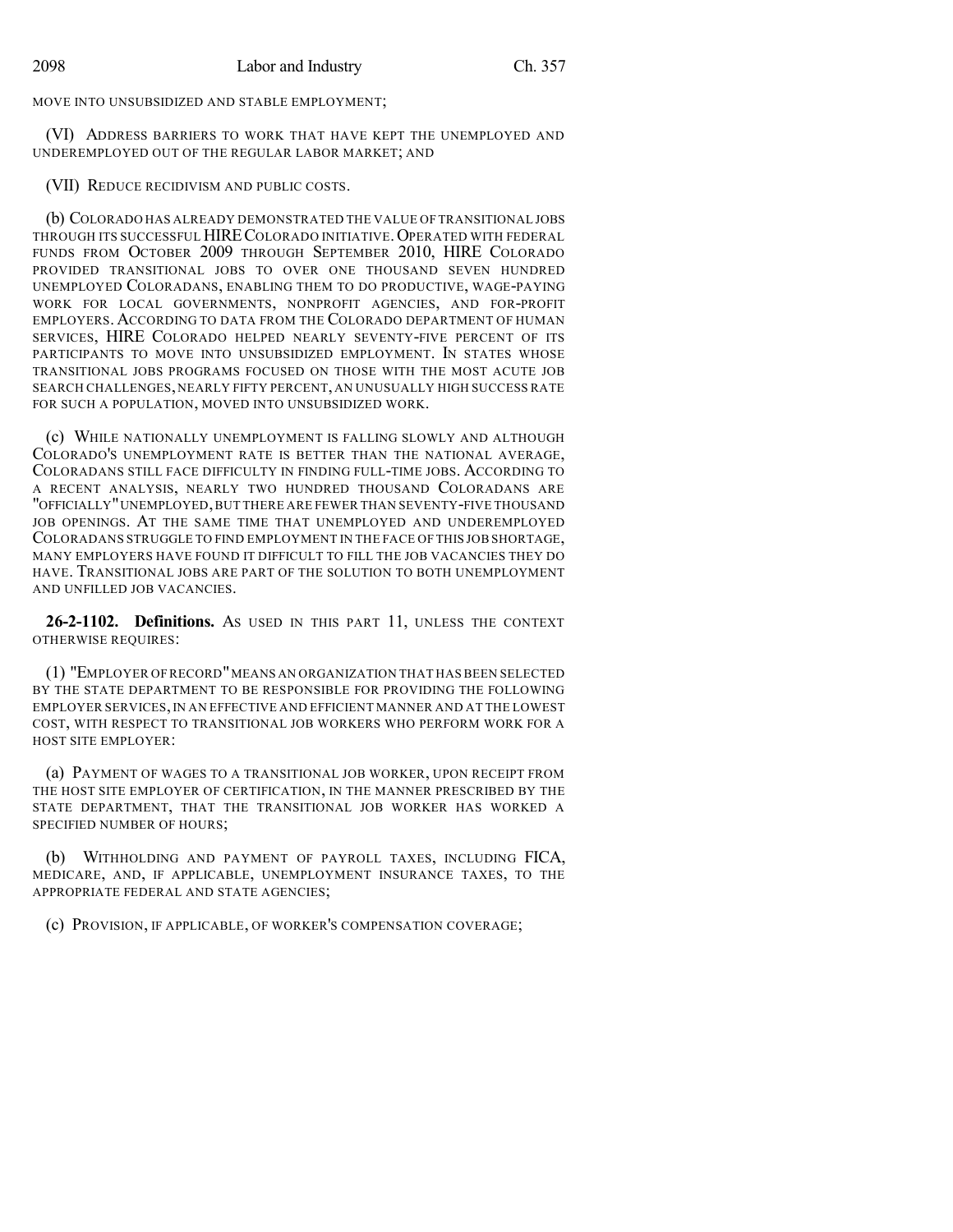MOVE INTO UNSUBSIDIZED AND STABLE EMPLOYMENT;

(VI) ADDRESS BARRIERS TO WORK THAT HAVE KEPT THE UNEMPLOYED AND UNDEREMPLOYED OUT OF THE REGULAR LABOR MARKET; AND

(VII) REDUCE RECIDIVISM AND PUBLIC COSTS.

(b) COLORADO HAS ALREADY DEMONSTRATED THE VALUE OF TRANSITIONAL JOBS THROUGH ITS SUCCESSFUL HIRECOLORADO INITIATIVE.OPERATED WITH FEDERAL FUNDS FROM OCTOBER 2009 THROUGH SEPTEMBER 2010, HIRE COLORADO PROVIDED TRANSITIONAL JOBS TO OVER ONE THOUSAND SEVEN HUNDRED UNEMPLOYED COLORADANS, ENABLING THEM TO DO PRODUCTIVE, WAGE-PAYING WORK FOR LOCAL GOVERNMENTS, NONPROFIT AGENCIES, AND FOR-PROFIT EMPLOYERS. ACCORDING TO DATA FROM THE COLORADO DEPARTMENT OF HUMAN SERVICES, HIRE COLORADO HELPED NEARLY SEVENTY-FIVE PERCENT OF ITS PARTICIPANTS TO MOVE INTO UNSUBSIDIZED EMPLOYMENT. IN STATES WHOSE TRANSITIONAL JOBS PROGRAMS FOCUSED ON THOSE WITH THE MOST ACUTE JOB SEARCH CHALLENGES, NEARLY FIFTY PERCENT, AN UNUSUALLY HIGH SUCCESS RATE FOR SUCH A POPULATION, MOVED INTO UNSUBSIDIZED WORK.

(c) WHILE NATIONALLY UNEMPLOYMENT IS FALLING SLOWLY AND ALTHOUGH COLORADO'S UNEMPLOYMENT RATE IS BETTER THAN THE NATIONAL AVERAGE, COLORADANS STILL FACE DIFFICULTY IN FINDING FULL-TIME JOBS. ACCORDING TO A RECENT ANALYSIS, NEARLY TWO HUNDRED THOUSAND COLORADANS ARE "OFFICIALLY"UNEMPLOYED,BUT THERE ARE FEWER THAN SEVENTY-FIVE THOUSAND JOB OPENINGS. AT THE SAME TIME THAT UNEMPLOYED AND UNDEREMPLOYED COLORADANS STRUGGLE TO FIND EMPLOYMENT IN THE FACE OF THIS JOB SHORTAGE, MANY EMPLOYERS HAVE FOUND IT DIFFICULT TO FILL THE JOB VACANCIES THEY DO HAVE. TRANSITIONAL JOBS ARE PART OF THE SOLUTION TO BOTH UNEMPLOYMENT AND UNFILLED JOB VACANCIES.

**26-2-1102. Definitions.** AS USED IN THIS PART 11, UNLESS THE CONTEXT OTHERWISE REQUIRES:

(1) "EMPLOYER OF RECORD"MEANS AN ORGANIZATION THAT HAS BEEN SELECTED BY THE STATE DEPARTMENT TO BE RESPONSIBLE FOR PROVIDING THE FOLLOWING EMPLOYER SERVICES,IN AN EFFECTIVE AND EFFICIENT MANNER AND AT THE LOWEST COST, WITH RESPECT TO TRANSITIONAL JOB WORKERS WHO PERFORM WORK FOR A HOST SITE EMPLOYER:

(a) PAYMENT OF WAGES TO A TRANSITIONAL JOB WORKER, UPON RECEIPT FROM THE HOST SITE EMPLOYER OF CERTIFICATION, IN THE MANNER PRESCRIBED BY THE STATE DEPARTMENT, THAT THE TRANSITIONAL JOB WORKER HAS WORKED A SPECIFIED NUMBER OF HOURS;

(b) WITHHOLDING AND PAYMENT OF PAYROLL TAXES, INCLUDING FICA, MEDICARE, AND, IF APPLICABLE, UNEMPLOYMENT INSURANCE TAXES, TO THE APPROPRIATE FEDERAL AND STATE AGENCIES;

(c) PROVISION, IF APPLICABLE, OF WORKER'S COMPENSATION COVERAGE;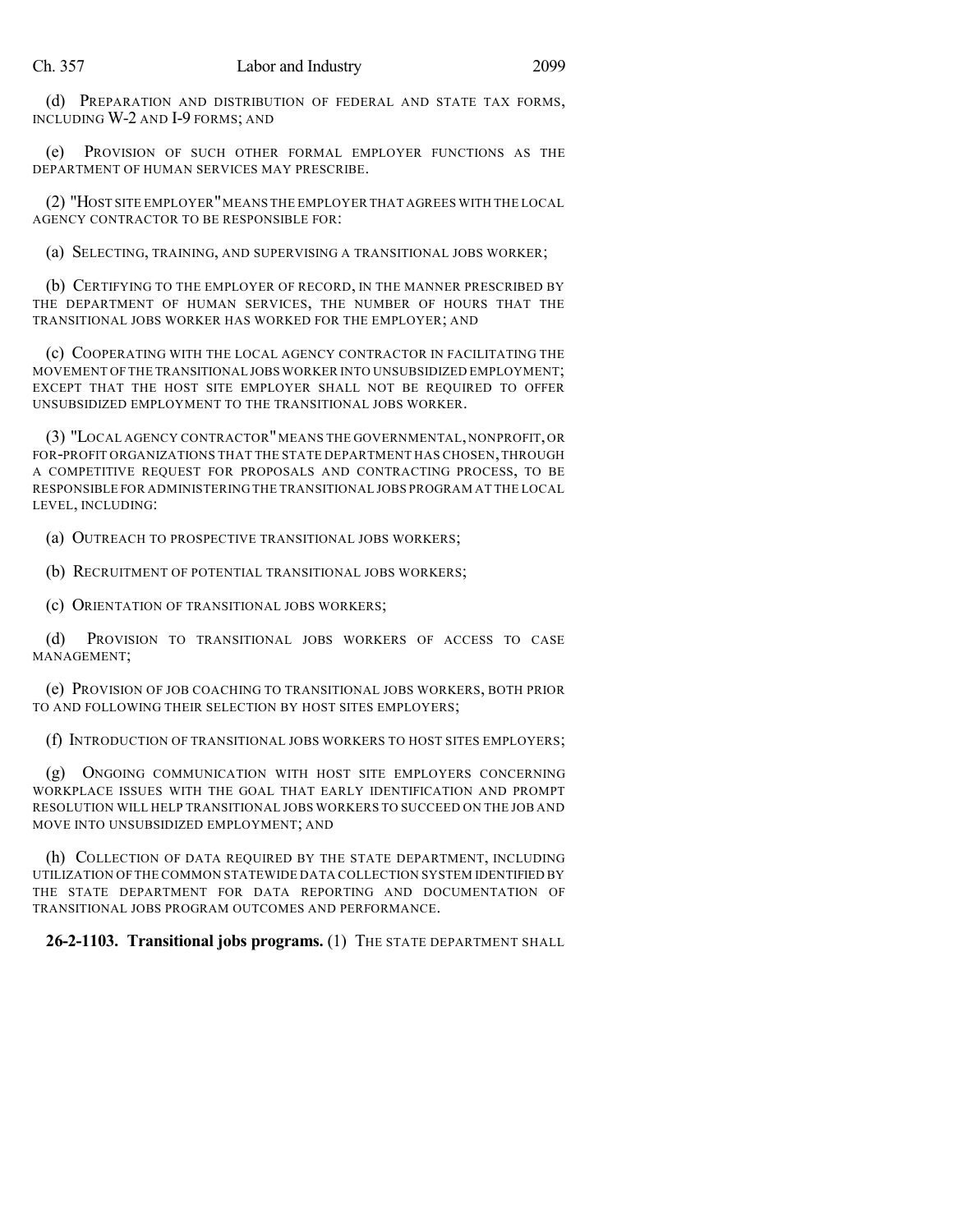(d) PREPARATION AND DISTRIBUTION OF FEDERAL AND STATE TAX FORMS, INCLUDING W-2 AND I-9 FORMS; AND

(e) PROVISION OF SUCH OTHER FORMAL EMPLOYER FUNCTIONS AS THE DEPARTMENT OF HUMAN SERVICES MAY PRESCRIBE.

(2) "HOST SITE EMPLOYER"MEANS THE EMPLOYER THAT AGREES WITH THE LOCAL AGENCY CONTRACTOR TO BE RESPONSIBLE FOR:

(a) SELECTING, TRAINING, AND SUPERVISING A TRANSITIONAL JOBS WORKER;

(b) CERTIFYING TO THE EMPLOYER OF RECORD, IN THE MANNER PRESCRIBED BY THE DEPARTMENT OF HUMAN SERVICES, THE NUMBER OF HOURS THAT THE TRANSITIONAL JOBS WORKER HAS WORKED FOR THE EMPLOYER; AND

(c) COOPERATING WITH THE LOCAL AGENCY CONTRACTOR IN FACILITATING THE MOVEMENT OF THE TRANSITIONAL JOBS WORKER INTO UNSUBSIDIZED EMPLOYMENT; EXCEPT THAT THE HOST SITE EMPLOYER SHALL NOT BE REQUIRED TO OFFER UNSUBSIDIZED EMPLOYMENT TO THE TRANSITIONAL JOBS WORKER.

(3) "LOCAL AGENCY CONTRACTOR"MEANS THE GOVERNMENTAL,NONPROFIT,OR FOR-PROFIT ORGANIZATIONS THAT THE STATE DEPARTMENT HAS CHOSEN,THROUGH A COMPETITIVE REQUEST FOR PROPOSALS AND CONTRACTING PROCESS, TO BE RESPONSIBLE FOR ADMINISTERING THE TRANSITIONAL JOBS PROGRAM AT THE LOCAL LEVEL, INCLUDING:

(a) OUTREACH TO PROSPECTIVE TRANSITIONAL JOBS WORKERS;

(b) RECRUITMENT OF POTENTIAL TRANSITIONAL JOBS WORKERS;

(c) ORIENTATION OF TRANSITIONAL JOBS WORKERS;

(d) PROVISION TO TRANSITIONAL JOBS WORKERS OF ACCESS TO CASE MANAGEMENT;

(e) PROVISION OF JOB COACHING TO TRANSITIONAL JOBS WORKERS, BOTH PRIOR TO AND FOLLOWING THEIR SELECTION BY HOST SITES EMPLOYERS;

(f) INTRODUCTION OF TRANSITIONAL JOBS WORKERS TO HOST SITES EMPLOYERS;

(g) ONGOING COMMUNICATION WITH HOST SITE EMPLOYERS CONCERNING WORKPLACE ISSUES WITH THE GOAL THAT EARLY IDENTIFICATION AND PROMPT RESOLUTION WILL HELP TRANSITIONAL JOBS WORKERS TO SUCCEED ON THE JOB AND MOVE INTO UNSUBSIDIZED EMPLOYMENT; AND

(h) COLLECTION OF DATA REQUIRED BY THE STATE DEPARTMENT, INCLUDING UTILIZATION OF THE COMMON STATEWIDE DATA COLLECTION SYSTEM IDENTIFIED BY THE STATE DEPARTMENT FOR DATA REPORTING AND DOCUMENTATION OF TRANSITIONAL JOBS PROGRAM OUTCOMES AND PERFORMANCE.

**26-2-1103. Transitional jobs programs.** (1) THE STATE DEPARTMENT SHALL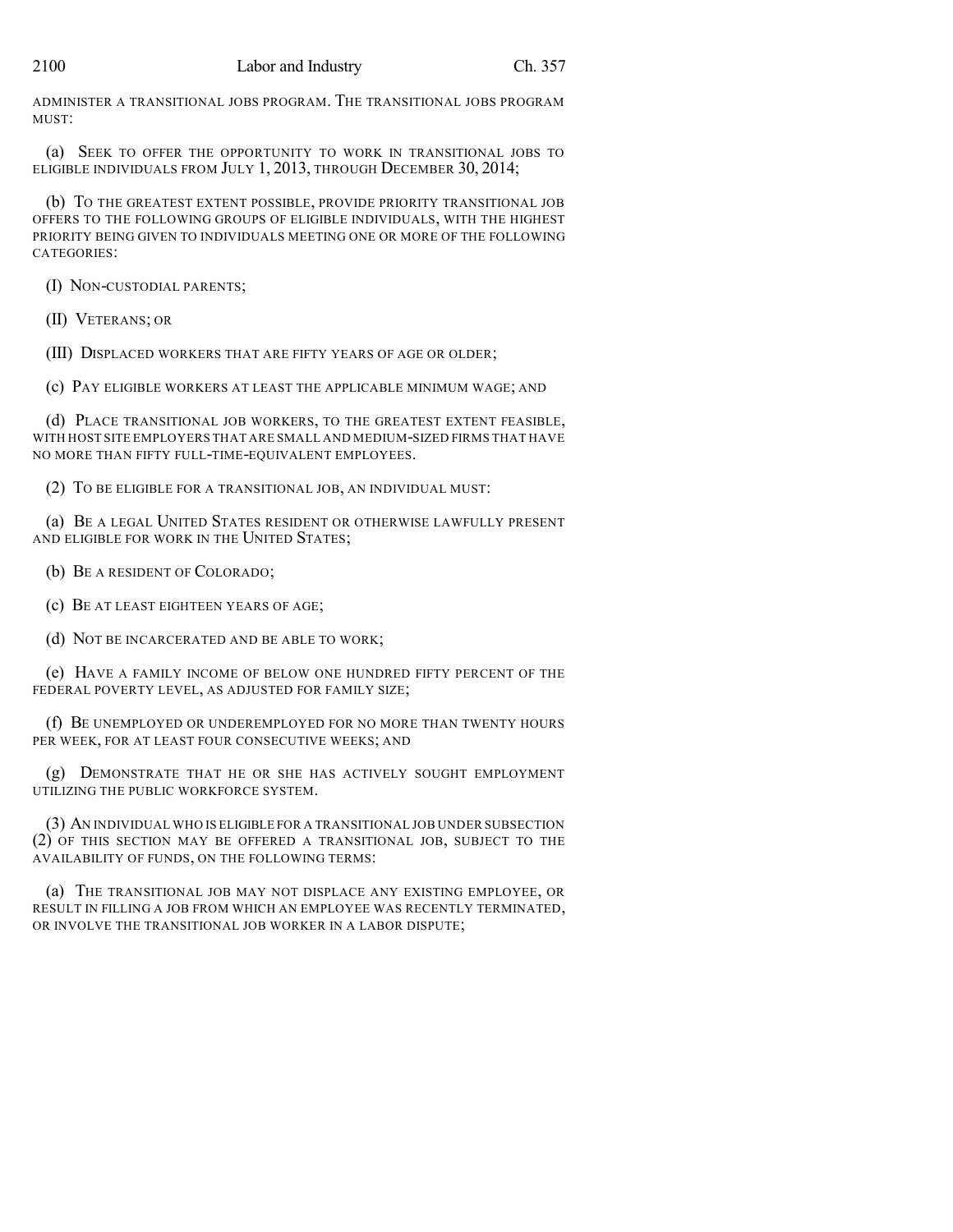ADMINISTER A TRANSITIONAL JOBS PROGRAM. THE TRANSITIONAL JOBS PROGRAM MUST:

(a) SEEK TO OFFER THE OPPORTUNITY TO WORK IN TRANSITIONAL JOBS TO ELIGIBLE INDIVIDUALS FROM JULY 1, 2013, THROUGH DECEMBER 30, 2014;

(b) TO THE GREATEST EXTENT POSSIBLE, PROVIDE PRIORITY TRANSITIONAL JOB OFFERS TO THE FOLLOWING GROUPS OF ELIGIBLE INDIVIDUALS, WITH THE HIGHEST PRIORITY BEING GIVEN TO INDIVIDUALS MEETING ONE OR MORE OF THE FOLLOWING CATEGORIES:

(I) NON-CUSTODIAL PARENTS;

(II) VETERANS; OR

(III) DISPLACED WORKERS THAT ARE FIFTY YEARS OF AGE OR OLDER;

(c) PAY ELIGIBLE WORKERS AT LEAST THE APPLICABLE MINIMUM WAGE; AND

(d) PLACE TRANSITIONAL JOB WORKERS, TO THE GREATEST EXTENT FEASIBLE, WITH HOST SITE EMPLOYERS THAT ARE SMALL AND MEDIUM-SIZED FIRMS THAT HAVE NO MORE THAN FIFTY FULL-TIME-EQUIVALENT EMPLOYEES.

(2) TO BE ELIGIBLE FOR A TRANSITIONAL JOB, AN INDIVIDUAL MUST:

(a) BE A LEGAL UNITED STATES RESIDENT OR OTHERWISE LAWFULLY PRESENT AND ELIGIBLE FOR WORK IN THE UNITED STATES:

(b) BE A RESIDENT OF COLORADO;

(c) BE AT LEAST EIGHTEEN YEARS OF AGE;

(d) NOT BE INCARCERATED AND BE ABLE TO WORK;

(e) HAVE A FAMILY INCOME OF BELOW ONE HUNDRED FIFTY PERCENT OF THE FEDERAL POVERTY LEVEL, AS ADJUSTED FOR FAMILY SIZE;

(f) BE UNEMPLOYED OR UNDEREMPLOYED FOR NO MORE THAN TWENTY HOURS PER WEEK, FOR AT LEAST FOUR CONSECUTIVE WEEKS; AND

(g) DEMONSTRATE THAT HE OR SHE HAS ACTIVELY SOUGHT EMPLOYMENT UTILIZING THE PUBLIC WORKFORCE SYSTEM.

(3) AN INDIVIDUAL WHO IS ELIGIBLE FOR A TRANSITIONAL JOB UNDER SUBSECTION (2) OF THIS SECTION MAY BE OFFERED A TRANSITIONAL JOB, SUBJECT TO THE AVAILABILITY OF FUNDS, ON THE FOLLOWING TERMS:

(a) THE TRANSITIONAL JOB MAY NOT DISPLACE ANY EXISTING EMPLOYEE, OR RESULT IN FILLING A JOB FROM WHICH AN EMPLOYEE WAS RECENTLY TERMINATED, OR INVOLVE THE TRANSITIONAL JOB WORKER IN A LABOR DISPUTE;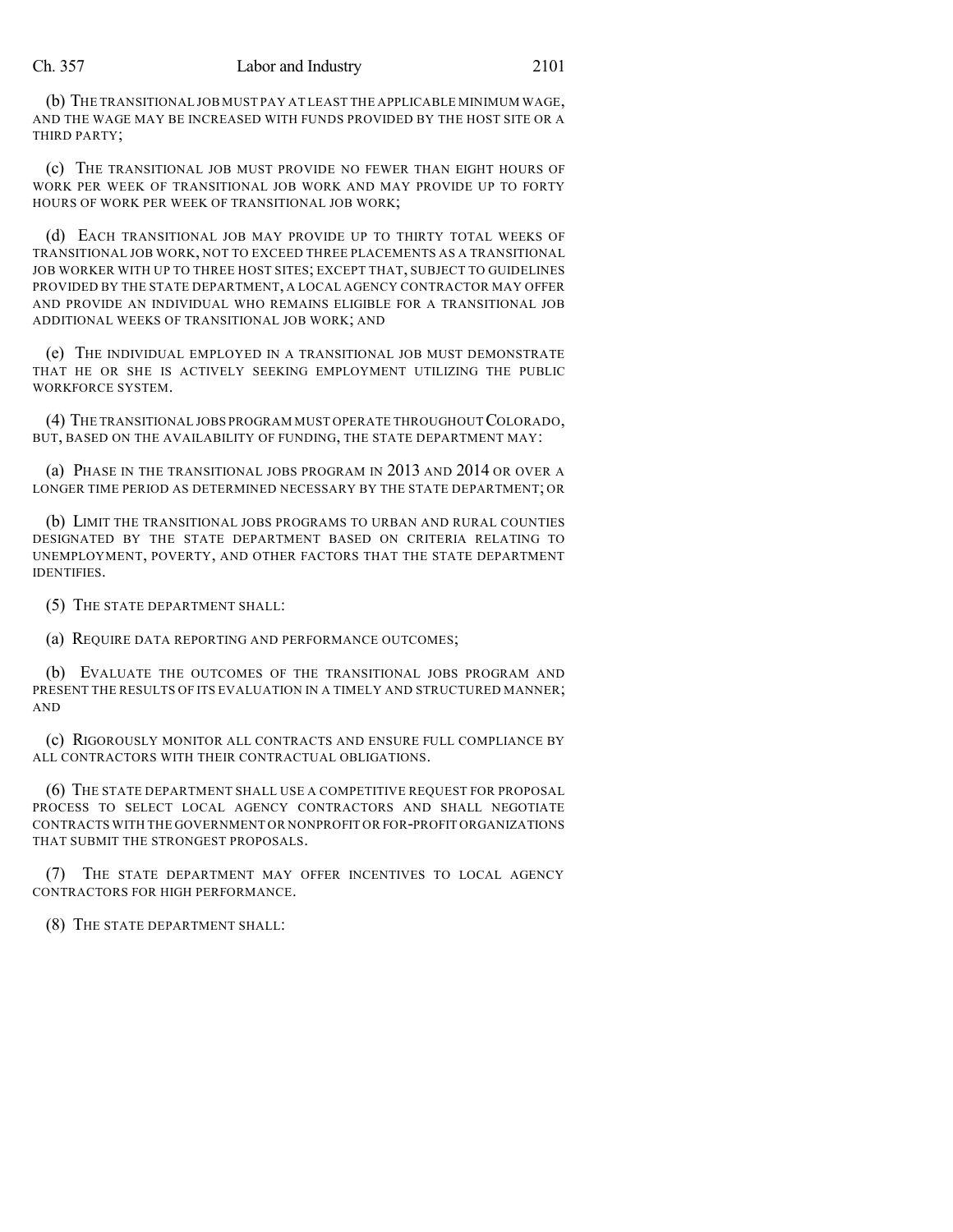#### Ch. 357 Labor and Industry 2101

(b) THE TRANSITIONAL JOB MUST PAY AT LEAST THE APPLICABLE MINIMUM WAGE, AND THE WAGE MAY BE INCREASED WITH FUNDS PROVIDED BY THE HOST SITE OR A THIRD PARTY;

(c) THE TRANSITIONAL JOB MUST PROVIDE NO FEWER THAN EIGHT HOURS OF WORK PER WEEK OF TRANSITIONAL JOB WORK AND MAY PROVIDE UP TO FORTY HOURS OF WORK PER WEEK OF TRANSITIONAL JOB WORK;

(d) EACH TRANSITIONAL JOB MAY PROVIDE UP TO THIRTY TOTAL WEEKS OF TRANSITIONAL JOB WORK, NOT TO EXCEED THREE PLACEMENTS AS A TRANSITIONAL JOB WORKER WITH UP TO THREE HOST SITES; EXCEPT THAT, SUBJECT TO GUIDELINES PROVIDED BY THE STATE DEPARTMENT, A LOCAL AGENCY CONTRACTOR MAY OFFER AND PROVIDE AN INDIVIDUAL WHO REMAINS ELIGIBLE FOR A TRANSITIONAL JOB ADDITIONAL WEEKS OF TRANSITIONAL JOB WORK; AND

(e) THE INDIVIDUAL EMPLOYED IN A TRANSITIONAL JOB MUST DEMONSTRATE THAT HE OR SHE IS ACTIVELY SEEKING EMPLOYMENT UTILIZING THE PUBLIC WORKFORCE SYSTEM.

(4) THE TRANSITIONAL JOBS PROGRAM MUST OPERATE THROUGHOUTCOLORADO, BUT, BASED ON THE AVAILABILITY OF FUNDING, THE STATE DEPARTMENT MAY:

(a) PHASE IN THE TRANSITIONAL JOBS PROGRAM IN 2013 AND 2014 OR OVER A LONGER TIME PERIOD AS DETERMINED NECESSARY BY THE STATE DEPARTMENT; OR

(b) LIMIT THE TRANSITIONAL JOBS PROGRAMS TO URBAN AND RURAL COUNTIES DESIGNATED BY THE STATE DEPARTMENT BASED ON CRITERIA RELATING TO UNEMPLOYMENT, POVERTY, AND OTHER FACTORS THAT THE STATE DEPARTMENT IDENTIFIES.

(5) THE STATE DEPARTMENT SHALL:

(a) REQUIRE DATA REPORTING AND PERFORMANCE OUTCOMES;

(b) EVALUATE THE OUTCOMES OF THE TRANSITIONAL JOBS PROGRAM AND PRESENT THE RESULTS OF ITS EVALUATION IN A TIMELY AND STRUCTURED MANNER; AND

(c) RIGOROUSLY MONITOR ALL CONTRACTS AND ENSURE FULL COMPLIANCE BY ALL CONTRACTORS WITH THEIR CONTRACTUAL OBLIGATIONS.

(6) THE STATE DEPARTMENT SHALL USE A COMPETITIVE REQUEST FOR PROPOSAL PROCESS TO SELECT LOCAL AGENCY CONTRACTORS AND SHALL NEGOTIATE CONTRACTS WITH THE GOVERNMENT OR NONPROFIT OR FOR-PROFIT ORGANIZATIONS THAT SUBMIT THE STRONGEST PROPOSALS.

(7) THE STATE DEPARTMENT MAY OFFER INCENTIVES TO LOCAL AGENCY CONTRACTORS FOR HIGH PERFORMANCE.

(8) THE STATE DEPARTMENT SHALL: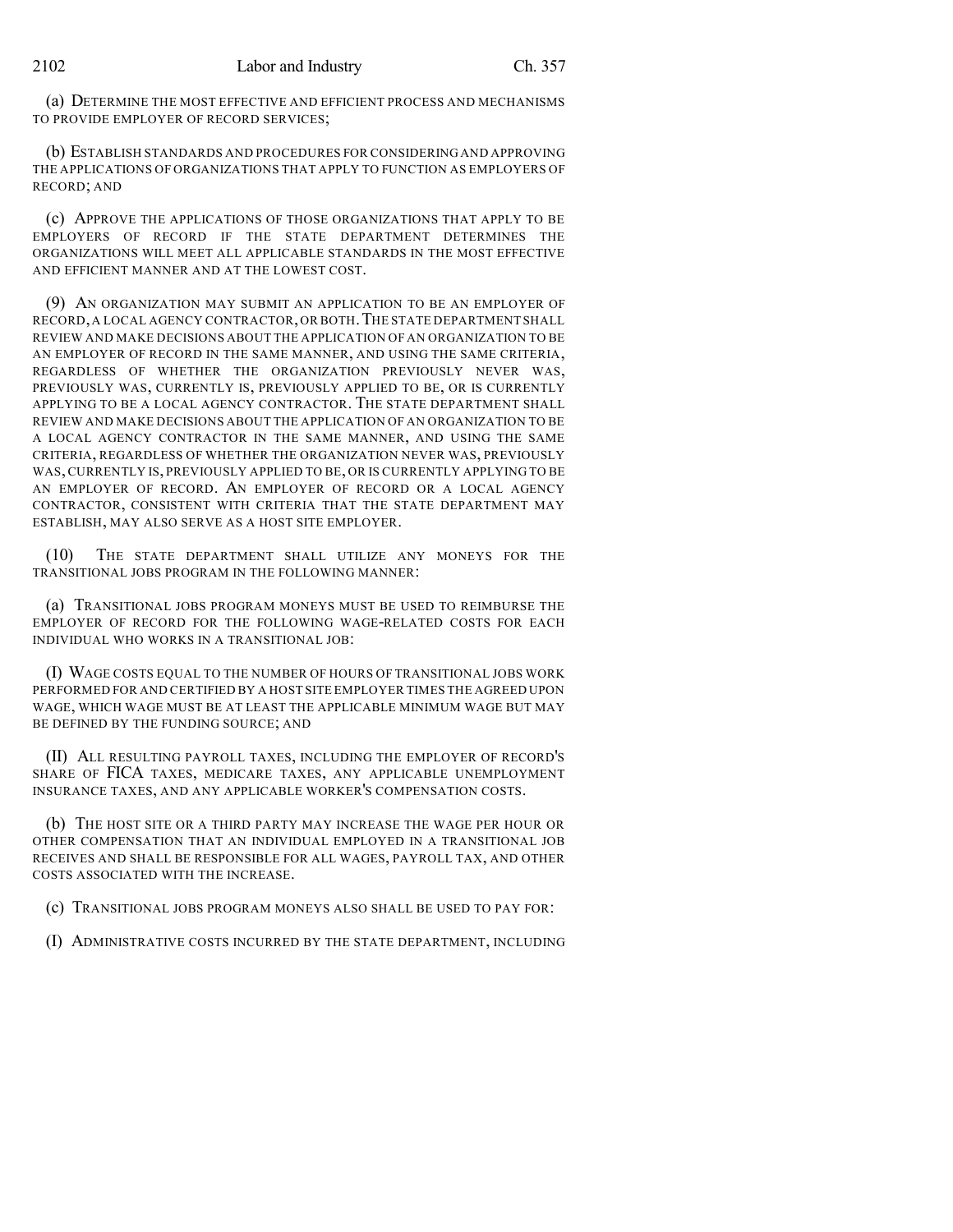(a) DETERMINE THE MOST EFFECTIVE AND EFFICIENT PROCESS AND MECHANISMS TO PROVIDE EMPLOYER OF RECORD SERVICES;

(b) ESTABLISH STANDARDS AND PROCEDURES FOR CONSIDERING AND APPROVING THE APPLICATIONS OF ORGANIZATIONS THAT APPLY TO FUNCTION AS EMPLOYERS OF RECORD; AND

(c) APPROVE THE APPLICATIONS OF THOSE ORGANIZATIONS THAT APPLY TO BE EMPLOYERS OF RECORD IF THE STATE DEPARTMENT DETERMINES THE ORGANIZATIONS WILL MEET ALL APPLICABLE STANDARDS IN THE MOST EFFECTIVE AND EFFICIENT MANNER AND AT THE LOWEST COST.

(9) AN ORGANIZATION MAY SUBMIT AN APPLICATION TO BE AN EMPLOYER OF RECORD,A LOCAL AGENCY CONTRACTOR, OR BOTH.THE STATE DEPARTMENT SHALL REVIEW AND MAKE DECISIONS ABOUT THE APPLICATION OF AN ORGANIZATION TO BE AN EMPLOYER OF RECORD IN THE SAME MANNER, AND USING THE SAME CRITERIA, REGARDLESS OF WHETHER THE ORGANIZATION PREVIOUSLY NEVER WAS, PREVIOUSLY WAS, CURRENTLY IS, PREVIOUSLY APPLIED TO BE, OR IS CURRENTLY APPLYING TO BE A LOCAL AGENCY CONTRACTOR. THE STATE DEPARTMENT SHALL REVIEW AND MAKE DECISIONS ABOUT THE APPLICATION OF AN ORGANIZATION TO BE A LOCAL AGENCY CONTRACTOR IN THE SAME MANNER, AND USING THE SAME CRITERIA, REGARDLESS OF WHETHER THE ORGANIZATION NEVER WAS, PREVIOUSLY WAS, CURRENTLY IS, PREVIOUSLY APPLIED TO BE, OR IS CURRENTLY APPLYING TO BE AN EMPLOYER OF RECORD. AN EMPLOYER OF RECORD OR A LOCAL AGENCY CONTRACTOR, CONSISTENT WITH CRITERIA THAT THE STATE DEPARTMENT MAY ESTABLISH, MAY ALSO SERVE AS A HOST SITE EMPLOYER.

(10) THE STATE DEPARTMENT SHALL UTILIZE ANY MONEYS FOR THE TRANSITIONAL JOBS PROGRAM IN THE FOLLOWING MANNER:

(a) TRANSITIONAL JOBS PROGRAM MONEYS MUST BE USED TO REIMBURSE THE EMPLOYER OF RECORD FOR THE FOLLOWING WAGE-RELATED COSTS FOR EACH INDIVIDUAL WHO WORKS IN A TRANSITIONAL JOB:

(I) WAGE COSTS EQUAL TO THE NUMBER OF HOURS OF TRANSITIONAL JOBS WORK PERFORMED FOR AND CERTIFIED BY A HOST SITE EMPLOYER TIMES THE AGREED UPON WAGE, WHICH WAGE MUST BE AT LEAST THE APPLICABLE MINIMUM WAGE BUT MAY BE DEFINED BY THE FUNDING SOURCE; AND

(II) ALL RESULTING PAYROLL TAXES, INCLUDING THE EMPLOYER OF RECORD'S SHARE OF FICA TAXES, MEDICARE TAXES, ANY APPLICABLE UNEMPLOYMENT INSURANCE TAXES, AND ANY APPLICABLE WORKER'S COMPENSATION COSTS.

(b) THE HOST SITE OR A THIRD PARTY MAY INCREASE THE WAGE PER HOUR OR OTHER COMPENSATION THAT AN INDIVIDUAL EMPLOYED IN A TRANSITIONAL JOB RECEIVES AND SHALL BE RESPONSIBLE FOR ALL WAGES, PAYROLL TAX, AND OTHER COSTS ASSOCIATED WITH THE INCREASE.

(c) TRANSITIONAL JOBS PROGRAM MONEYS ALSO SHALL BE USED TO PAY FOR:

(I) ADMINISTRATIVE COSTS INCURRED BY THE STATE DEPARTMENT, INCLUDING